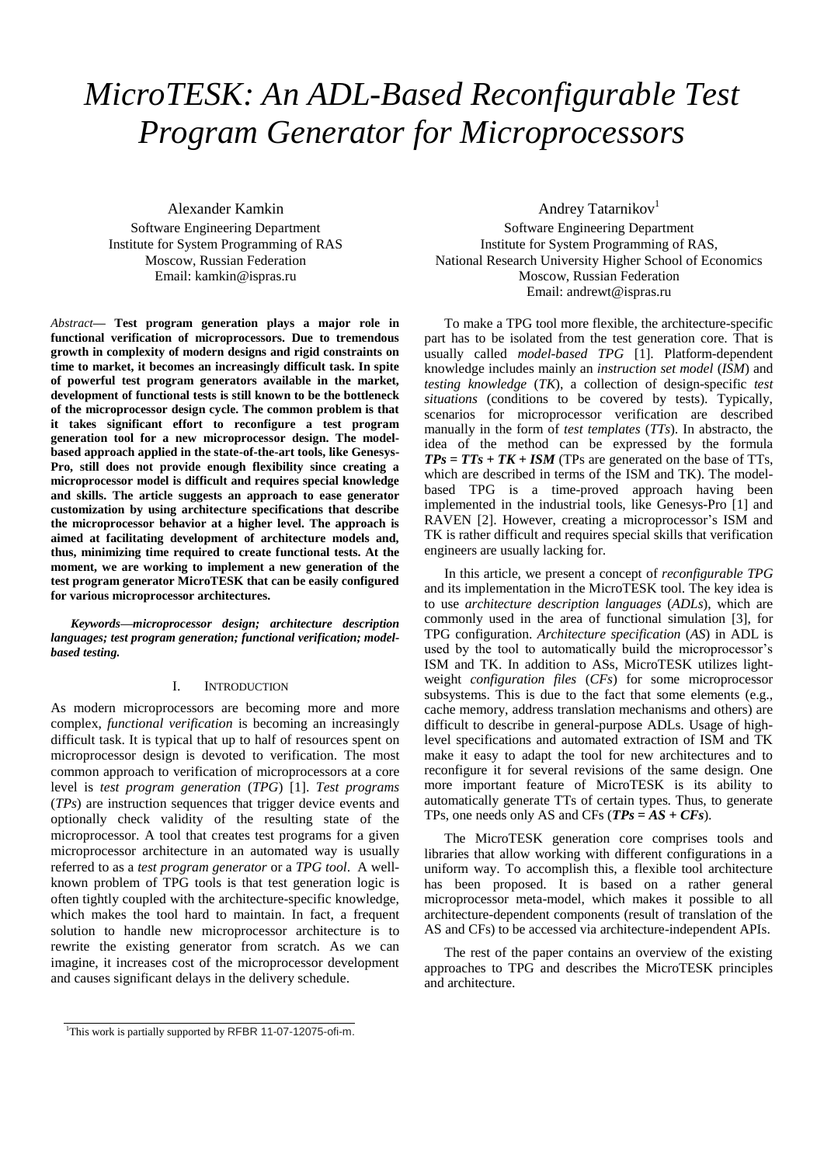# *MicroTESK: An ADL-Based Reconfigurable Test Program Generator for Microprocessors*

Alexander Kamkin

Software Engineering Department Institute for System Programming of RAS Moscow, Russian Federation Email: kamkin@ispras.ru

*Abstract***— Test program generation plays a major role in functional verification of microprocessors. Due to tremendous growth in complexity of modern designs and rigid constraints on time to market, it becomes an increasingly difficult task. In spite of powerful test program generators available in the market, development of functional tests is still known to be the bottleneck of the microprocessor design cycle. The common problem is that it takes significant effort to reconfigure a test program generation tool for a new microprocessor design. The modelbased approach applied in the state-of-the-art tools, like Genesys-Pro, still does not provide enough flexibility since creating a microprocessor model is difficult and requires special knowledge and skills. The article suggests an approach to ease generator customization by using architecture specifications that describe the microprocessor behavior at a higher level. The approach is aimed at facilitating development of architecture models and, thus, minimizing time required to create functional tests. At the moment, we are working to implement a new generation of the test program generator MicroTESK that can be easily configured for various microprocessor architectures.**

*Keywords—microprocessor design; architecture description languages; test program generation; functional verification; modelbased testing.*

## I. INTRODUCTION

As modern microprocessors are becoming more and more complex, *functional verification* is becoming an increasingly difficult task. It is typical that up to half of resources spent on microprocessor design is devoted to verification. The most common approach to verification of microprocessors at a core level is *test program generation* (*TPG*) [1]. *Test programs* (*TPs*) are instruction sequences that trigger device events and optionally check validity of the resulting state of the microprocessor. A tool that creates test programs for a given microprocessor architecture in an automated way is usually referred to as a *test program generator* or a *TPG tool*. A wellknown problem of TPG tools is that test generation logic is often tightly coupled with the architecture-specific knowledge, which makes the tool hard to maintain. In fact, a frequent solution to handle new microprocessor architecture is to rewrite the existing generator from scratch. As we can imagine, it increases cost of the microprocessor development and causes significant delays in the delivery schedule.

Andrey Tatarnikov $1$ 

Software Engineering Department Institute for System Programming of RAS, National Research University Higher School of Economics Moscow, Russian Federation Email: andrewt@ispras.ru

To make a TPG tool more flexible, the architecture-specific part has to be isolated from the test generation core. That is usually called *model-based TPG* [1]. Platform-dependent knowledge includes mainly an *instruction set model* (*ISM*) and *testing knowledge* (*TK*), a collection of design-specific *test situations* (conditions to be covered by tests). Typically, scenarios for microprocessor verification are described manually in the form of *test templates* (*TTs*). In abstracto, the idea of the method can be expressed by the formula  $TPs = TTs + TK + ISM$  (TPs are generated on the base of TTs, which are described in terms of the ISM and TK). The modelbased TPG is a time-proved approach having been implemented in the industrial tools, like Genesys-Pro [1] and RAVEN [2]. However, creating a microprocessor's ISM and TK is rather difficult and requires special skills that verification engineers are usually lacking for.

In this article, we present a concept of *reconfigurable TPG* and its implementation in the MicroTESK tool. The key idea is to use *architecture description languages* (*ADLs*), which are commonly used in the area of functional simulation [3], for TPG configuration. *Architecture specification* (*AS*) in ADL is used by the tool to automatically build the microprocessor's ISM and TK. In addition to ASs, MicroTESK utilizes lightweight *configuration files* (*CFs*) for some microprocessor subsystems. This is due to the fact that some elements (e.g., cache memory, address translation mechanisms and others) are difficult to describe in general-purpose ADLs. Usage of highlevel specifications and automated extraction of ISM and TK make it easy to adapt the tool for new architectures and to reconfigure it for several revisions of the same design. One more important feature of MicroTESK is its ability to automatically generate TTs of certain types. Thus, to generate TPs, one needs only AS and CFs ( $TPs = AS + CFs$ ).

The MicroTESK generation core comprises tools and libraries that allow working with different configurations in a uniform way. To accomplish this, a flexible tool architecture has been proposed. It is based on a rather general microprocessor meta-model, which makes it possible to all architecture-dependent components (result of translation of the AS and CFs) to be accessed via architecture-independent APIs.

The rest of the paper contains an overview of the existing approaches to TPG and describes the MicroTESK principles and architecture.

<sup>&</sup>lt;sup>1</sup>This work is partially supported by RFBR 11-07-12075-ofi-m.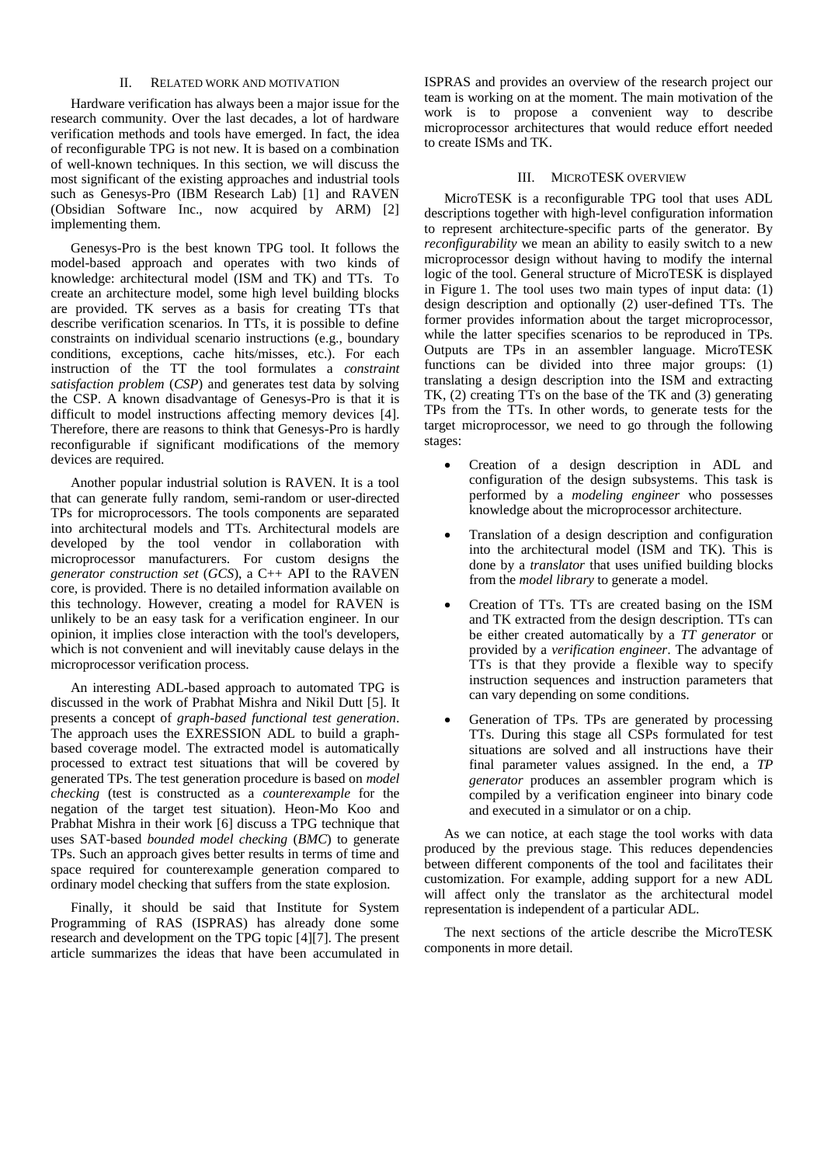# II. RELATED WORK AND MOTIVATION

Hardware verification has always been a major issue for the research community. Over the last decades, a lot of hardware verification methods and tools have emerged. In fact, the idea of reconfigurable TPG is not new. It is based on a combination of well-known techniques. In this section, we will discuss the most significant of the existing approaches and industrial tools such as Genesys-Pro (IBM Research Lab) [1] and RAVEN (Obsidian Software Inc., now acquired by ARM) [2] implementing them.

Genesys-Pro is the best known TPG tool. It follows the model-based approach and operates with two kinds of knowledge: architectural model (ISM and TK) and TTs. To create an architecture model, some high level building blocks are provided. TK serves as a basis for creating TTs that describe verification scenarios. In TTs, it is possible to define constraints on individual scenario instructions (e.g., boundary conditions, exceptions, cache hits/misses, etc.). For each instruction of the TT the tool formulates a *constraint satisfaction problem* (*CSP*) and generates test data by solving the CSP. A known disadvantage of Genesys-Pro is that it is difficult to model instructions affecting memory devices [4]. Therefore, there are reasons to think that Genesys-Pro is hardly reconfigurable if significant modifications of the memory devices are required.

Another popular industrial solution is RAVEN. It is a tool that can generate fully random, semi-random or user-directed TPs for microprocessors. The tools components are separated into architectural models and TTs. Architectural models are developed by the tool vendor in collaboration with microprocessor manufacturers. For custom designs the *generator construction set* (*GCS*), a C++ API to the RAVEN core, is provided. There is no detailed information available on this technology. However, creating a model for RAVEN is unlikely to be an easy task for a verification engineer. In our opinion, it implies close interaction with the tool's developers, which is not convenient and will inevitably cause delays in the microprocessor verification process.

An interesting ADL-based approach to automated TPG is discussed in the work of Prabhat Mishra and Nikil Dutt [5]. It presents a concept of *graph-based functional test generation*. The approach uses the EXRESSION ADL to build a graphbased coverage model. The extracted model is automatically processed to extract test situations that will be covered by generated TPs. The test generation procedure is based on *model checking* (test is constructed as a *counterexample* for the negation of the target test situation). Heon-Mo Koo and Prabhat Mishra in their work [6] discuss a TPG technique that uses SAT-based *bounded model checking* (*BMC*) to generate TPs. Such an approach gives better results in terms of time and space required for counterexample generation compared to ordinary model checking that suffers from the state explosion.

Finally, it should be said that Institute for System Programming of RAS (ISPRAS) has already done some research and development on the TPG topic [4][7]. The present article summarizes the ideas that have been accumulated in

ISPRAS and provides an overview of the research project our team is working on at the moment. The main motivation of the work is to propose a convenient way to describe microprocessor architectures that would reduce effort needed to create ISMs and TK.

## III. MICROTESK OVERVIEW

MicroTESK is a reconfigurable TPG tool that uses ADL descriptions together with high-level configuration information to represent architecture-specific parts of the generator. By *reconfigurability* we mean an ability to easily switch to a new microprocessor design without having to modify the internal logic of the tool. General structure of MicroTESK is displayed in Figure 1. The tool uses two main types of input data: (1) design description and optionally (2) user-defined TTs. The former provides information about the target microprocessor, while the latter specifies scenarios to be reproduced in TPs. Outputs are TPs in an assembler language. MicroTESK functions can be divided into three major groups: (1) translating a design description into the ISM and extracting TK, (2) creating TTs on the base of the TK and (3) generating TPs from the TTs. In other words, to generate tests for the target microprocessor, we need to go through the following stages:

- Creation of a design description in ADL and configuration of the design subsystems. This task is performed by a *modeling engineer* who possesses knowledge about the microprocessor architecture.
- Translation of a design description and configuration into the architectural model (ISM and TK). This is done by a *translator* that uses unified building blocks from the *model library* to generate a model.
- Creation of TTs. TTs are created basing on the ISM and TK extracted from the design description. TTs can be either created automatically by a *TT generator* or provided by a *verification engineer*. The advantage of TTs is that they provide a flexible way to specify instruction sequences and instruction parameters that can vary depending on some conditions.
- Generation of TPs. TPs are generated by processing TTs. During this stage all CSPs formulated for test situations are solved and all instructions have their final parameter values assigned. In the end, a *TP generator* produces an assembler program which is compiled by a verification engineer into binary code and executed in a simulator or on a chip.

As we can notice, at each stage the tool works with data produced by the previous stage. This reduces dependencies between different components of the tool and facilitates their customization. For example, adding support for a new ADL will affect only the translator as the architectural model representation is independent of a particular ADL.

The next sections of the article describe the MicroTESK components in more detail.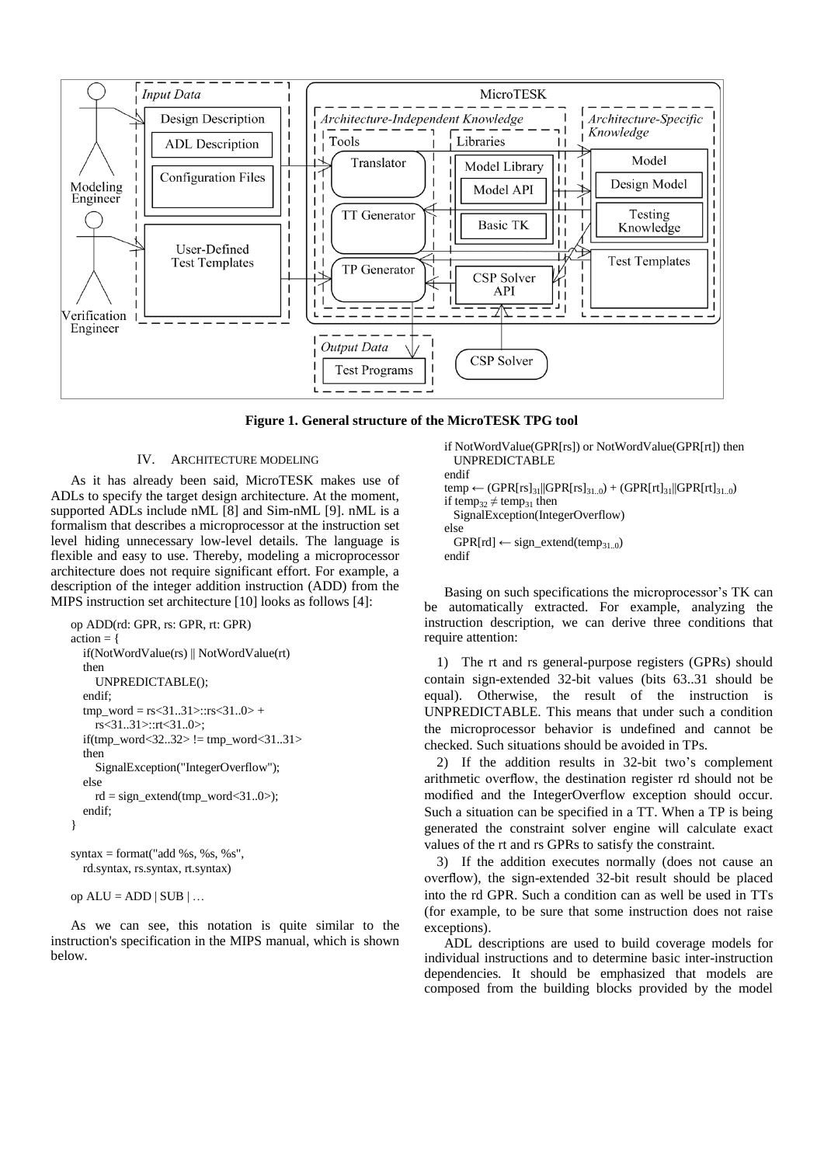

**Figure 1. General structure of the MicroTESK TPG tool**

## IV. ARCHITECTURE MODELING

As it has already been said, MicroTESK makes use of ADLs to specify the target design architecture. At the moment, supported ADLs include nML [8] and Sim-nML [9]. nML is a formalism that describes a microprocessor at the instruction set level hiding unnecessary low-level details. The language is flexible and easy to use. Thereby, modeling a microprocessor architecture does not require significant effort. For example, a description of the integer addition instruction (ADD) from the MIPS instruction set architecture [10] looks as follows [4]:

```
op ADD(rd: GPR, rs: GPR, rt: GPR)
\arctan = 8 if(NotWordValue(rs) || NotWordValue(rt)
   then
      UNPREDICTABLE();
   endif;
  tmp_word = rs < 31..31 > ::rs < 31..0 > + rs<31..31>::rt<31..0>;
  if(tmp_word<32..32> != tmp_word<31..31>
   then
      SignalException("IntegerOverflow");
   else
     rd = sign \text{ extend}(\text{tmp} \text{word} < 31..0);
   endif;
}
```
 $s$ yntax = format("add %s, %s, %s", rd.syntax, rs.syntax, rt.syntax)

op  $ALU = ADD | SUB | ...$ 

As we can see, this notation is quite similar to the instruction's specification in the MIPS manual, which is shown below.

if NotWordValue(GPR[rs]) or NotWordValue(GPR[rt]) then UNPREDICTABLE

endif temp ←  $(GPR[rs]_{31} || GPR[rs]_{31.0}) + (GPR[rt]_{31} || GPR[rt]_{31.0})$ if temp<sub>32</sub>  $\neq$  temp<sub>31</sub> then SignalException(IntegerOverflow) else  $GPR[rd] \leftarrow sign\_extend(temp_{31.0})$ endif

Basing on such specifications the microprocessor's TK can be automatically extracted. For example, analyzing the instruction description, we can derive three conditions that require attention:

1) The rt and rs general-purpose registers (GPRs) should contain sign-extended 32-bit values (bits 63..31 should be equal). Otherwise, the result of the instruction is UNPREDICTABLE. This means that under such a condition the microprocessor behavior is undefined and cannot be checked. Such situations should be avoided in TPs.

2) If the addition results in 32-bit two's complement arithmetic overflow, the destination register rd should not be modified and the IntegerOverflow exception should occur. Such a situation can be specified in a TT. When a TP is being generated the constraint solver engine will calculate exact values of the rt and rs GPRs to satisfy the constraint.

3) If the addition executes normally (does not cause an overflow), the sign-extended 32-bit result should be placed into the rd GPR. Such a condition can as well be used in TTs (for example, to be sure that some instruction does not raise exceptions).

ADL descriptions are used to build coverage models for individual instructions and to determine basic inter-instruction dependencies. It should be emphasized that models are composed from the building blocks provided by the model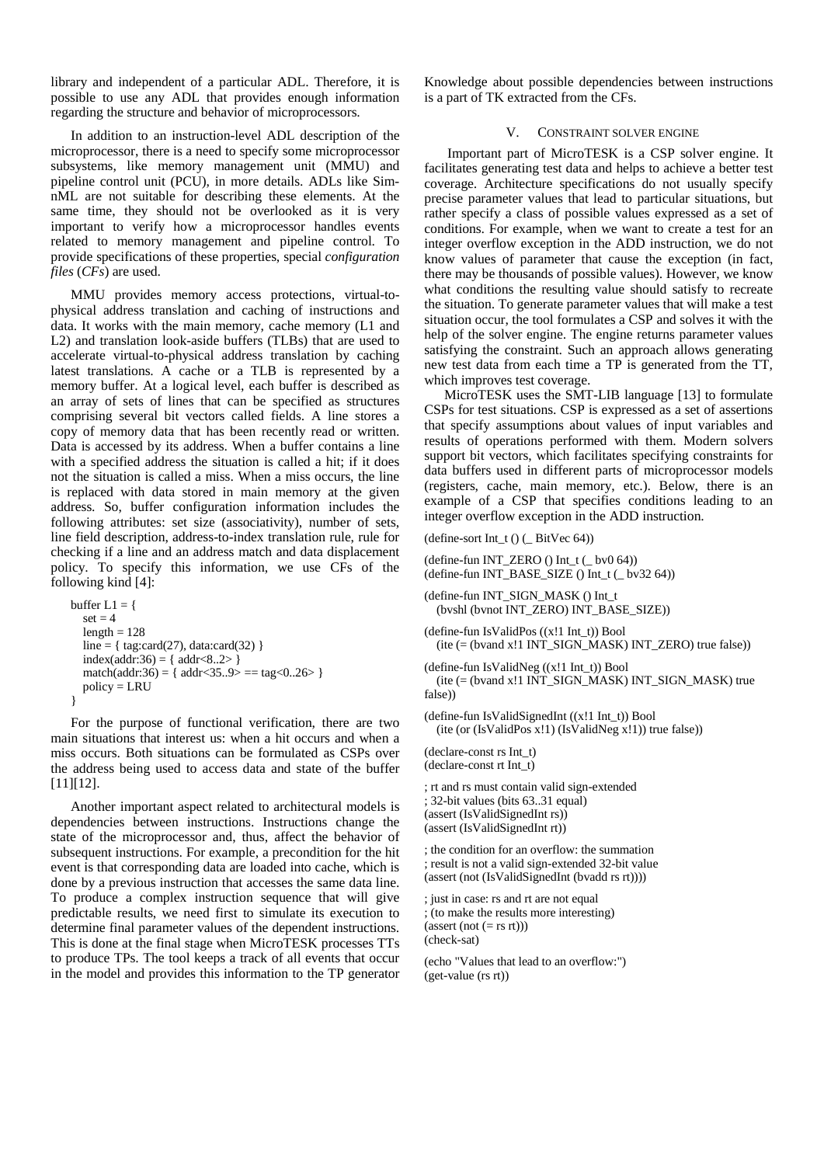library and independent of a particular ADL. Therefore, it is possible to use any ADL that provides enough information regarding the structure and behavior of microprocessors.

In addition to an instruction-level ADL description of the microprocessor, there is a need to specify some microprocessor subsystems, like memory management unit (MMU) and pipeline control unit (PCU), in more details. ADLs like SimnML are not suitable for describing these elements. At the same time, they should not be overlooked as it is very important to verify how a microprocessor handles events related to memory management and pipeline control. To provide specifications of these properties, special *configuration files* (*CFs*) are used.

MMU provides memory access protections, virtual-tophysical address translation and caching of instructions and data. It works with the main memory, cache memory (L1 and L2) and translation look-aside buffers (TLBs) that are used to accelerate virtual-to-physical address translation by caching latest translations. A cache or a TLB is represented by a memory buffer. At a logical level, each buffer is described as an array of sets of lines that can be specified as structures comprising several bit vectors called fields. A line stores a copy of memory data that has been recently read or written. Data is accessed by its address. When a buffer contains a line with a specified address the situation is called a hit; if it does not the situation is called a miss. When a miss occurs, the line is replaced with data stored in main memory at the given address. So, buffer configuration information includes the following attributes: set size (associativity), number of sets, line field description, address-to-index translation rule, rule for checking if a line and an address match and data displacement policy. To specify this information, we use CFs of the following kind [4]:

```
buffer L1 = \{set = 4length = 128line = { tag:card(27), data:card(32)}index(addr:36) = { addr < 8.2 }
  match(addr:36) = { addr < 35.9 > = tag < 0..26 > }
   policy = LRU
}
```
For the purpose of functional verification, there are two main situations that interest us: when a hit occurs and when a miss occurs. Both situations can be formulated as CSPs over the address being used to access data and state of the buffer [11][12].

Another important aspect related to architectural models is dependencies between instructions. Instructions change the state of the microprocessor and, thus, affect the behavior of subsequent instructions. For example, a precondition for the hit event is that corresponding data are loaded into cache, which is done by a previous instruction that accesses the same data line. To produce a complex instruction sequence that will give predictable results, we need first to simulate its execution to determine final parameter values of the dependent instructions. This is done at the final stage when MicroTESK processes TTs to produce TPs. The tool keeps a track of all events that occur in the model and provides this information to the TP generator

Knowledge about possible dependencies between instructions is a part of TK extracted from the CFs.

## V. CONSTRAINT SOLVER ENGINE

Important part of MicroTESK is a CSP solver engine. It facilitates generating test data and helps to achieve a better test coverage. Architecture specifications do not usually specify precise parameter values that lead to particular situations, but rather specify a class of possible values expressed as a set of conditions. For example, when we want to create a test for an integer overflow exception in the ADD instruction, we do not know values of parameter that cause the exception (in fact, there may be thousands of possible values). However, we know what conditions the resulting value should satisfy to recreate the situation. To generate parameter values that will make a test situation occur, the tool formulates a CSP and solves it with the help of the solver engine. The engine returns parameter values satisfying the constraint. Such an approach allows generating new test data from each time a TP is generated from the TT, which improves test coverage.

MicroTESK uses the SMT-LIB language [13] to formulate CSPs for test situations. CSP is expressed as a set of assertions that specify assumptions about values of input variables and results of operations performed with them. Modern solvers support bit vectors, which facilitates specifying constraints for data buffers used in different parts of microprocessor models (registers, cache, main memory, etc.). Below, there is an example of a CSP that specifies conditions leading to an integer overflow exception in the ADD instruction.

(define-sort Int\_t () (\_ BitVec 64))

- (define-fun INT\_ZERO () Int\_t (\_ bv0 64)) (define-fun INT\_BASE\_SIZE () Int\_t ( $_b$  bv32 64))
- (define-fun INT\_SIGN\_MASK () Int\_t (bvshl (bvnot INT\_ZERO) INT\_BASE\_SIZE))
- (define-fun IsValidPos ((x!1 Int\_t)) Bool (ite  $(=(\text{bvand } x!)$  INT\_SIGN\_MASK) INT\_ZERO) true false))
- (define-fun IsValidNeg ((x!1 Int\_t)) Bool (ite (= (bvand x!1 INT\_SIGN\_MASK) INT\_SIGN\_MASK) true false))
- (define-fun IsValidSignedInt ((x!1 Int\_t)) Bool (ite (or (IsValidPos x!1) (IsValidNeg x!1)) true false))

(declare-const rs Int\_t) (declare-const rt Int\_t)

; rt and rs must contain valid sign-extended ; 32-bit values (bits 63..31 equal) (assert (IsValidSignedInt rs)) (assert (IsValidSignedInt rt))

; the condition for an overflow: the summation ; result is not a valid sign-extended 32-bit value (assert (not (IsValidSignedInt (bvadd rs rt))))

; just in case: rs and rt are not equal ; (to make the results more interesting)  $(\text{assert} (\text{not} (= \text{rs rt})))$ (check-sat)

(echo "Values that lead to an overflow:") (get-value (rs rt))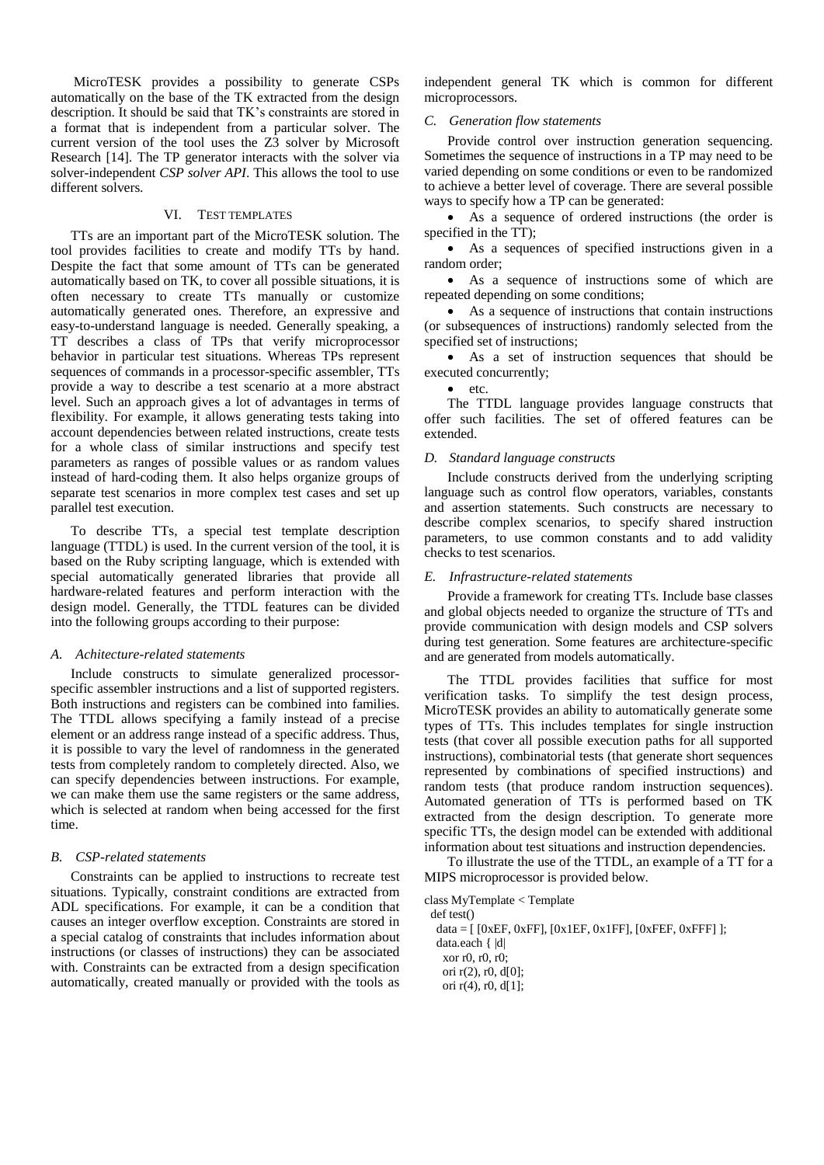MicroTESK provides a possibility to generate CSPs automatically on the base of the TK extracted from the design description. It should be said that TK's constraints are stored in a format that is independent from a particular solver. The current version of the tool uses the Z3 solver by Microsoft Research [14]. The TP generator interacts with the solver via solver-independent *CSP solver API*. This allows the tool to use different solvers.

# VI. TEST TEMPLATES

TTs are an important part of the MicroTESK solution. The tool provides facilities to create and modify TTs by hand. Despite the fact that some amount of TTs can be generated automatically based on TK, to cover all possible situations, it is often necessary to create TTs manually or customize automatically generated ones. Therefore, an expressive and easy-to-understand language is needed. Generally speaking, a TT describes a class of TPs that verify microprocessor behavior in particular test situations. Whereas TPs represent sequences of commands in a processor-specific assembler, TTs provide a way to describe a test scenario at a more abstract level. Such an approach gives a lot of advantages in terms of flexibility. For example, it allows generating tests taking into account dependencies between related instructions, create tests for a whole class of similar instructions and specify test parameters as ranges of possible values or as random values instead of hard-coding them. It also helps organize groups of separate test scenarios in more complex test cases and set up parallel test execution.

To describe TTs, a special test template description language (TTDL) is used. In the current version of the tool, it is based on the Ruby scripting language, which is extended with special automatically generated libraries that provide all hardware-related features and perform interaction with the design model. Generally, the TTDL features can be divided into the following groups according to their purpose:

#### *A. Achitecture-related statements*

Include constructs to simulate generalized processorspecific assembler instructions and a list of supported registers. Both instructions and registers can be combined into families. The TTDL allows specifying a family instead of a precise element or an address range instead of a specific address. Thus, it is possible to vary the level of randomness in the generated tests from completely random to completely directed. Also, we can specify dependencies between instructions. For example, we can make them use the same registers or the same address, which is selected at random when being accessed for the first time.

#### *B. CSP-related statements*

Constraints can be applied to instructions to recreate test situations. Typically, constraint conditions are extracted from ADL specifications. For example, it can be a condition that causes an integer overflow exception. Constraints are stored in a special catalog of constraints that includes information about instructions (or classes of instructions) they can be associated with. Constraints can be extracted from a design specification automatically, created manually or provided with the tools as independent general TK which is common for different microprocessors.

## *C. Generation flow statements*

Provide control over instruction generation sequencing. Sometimes the sequence of instructions in a TP may need to be varied depending on some conditions or even to be randomized to achieve a better level of coverage. There are several possible ways to specify how a TP can be generated:

 As a sequence of ordered instructions (the order is specified in the TT);

 As a sequences of specified instructions given in a random order;

 As a sequence of instructions some of which are repeated depending on some conditions;

 As a sequence of instructions that contain instructions (or subsequences of instructions) randomly selected from the specified set of instructions;

 As a set of instruction sequences that should be executed concurrently;

## $e$  etc.

The TTDL language provides language constructs that offer such facilities. The set of offered features can be extended.

#### *D. Standard language constructs*

Include constructs derived from the underlying scripting language such as control flow operators, variables, constants and assertion statements. Such constructs are necessary to describe complex scenarios, to specify shared instruction parameters, to use common constants and to add validity checks to test scenarios.

#### *E. Infrastructure-related statements*

Provide a framework for creating TTs. Include base classes and global objects needed to organize the structure of TTs and provide communication with design models and CSP solvers during test generation. Some features are architecture-specific and are generated from models automatically.

The TTDL provides facilities that suffice for most verification tasks. To simplify the test design process, MicroTESK provides an ability to automatically generate some types of TTs. This includes templates for single instruction tests (that cover all possible execution paths for all supported instructions), combinatorial tests (that generate short sequences represented by combinations of specified instructions) and random tests (that produce random instruction sequences). Automated generation of TTs is performed based on TK extracted from the design description. To generate more specific TTs, the design model can be extended with additional information about test situations and instruction dependencies.

To illustrate the use of the TTDL, an example of a TT for a MIPS microprocessor is provided below.

class MyTemplate < Template

- def test()
- data = [ [0xEF, 0xFF], [0x1EF, 0x1FF], [0xFEF, 0xFFF] ];

```
 data.each { |d|
```
xor r0, r0, r0;

ori r(2), r0, d[0];

ori  $r(4)$ ,  $r0$ ,  $d[1]$ ;